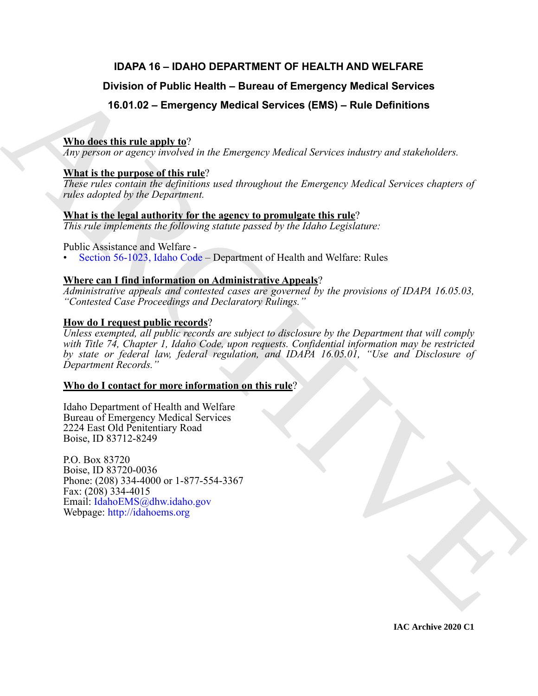## **IDAPA 16 – IDAHO DEPARTMENT OF HEALTH AND WELFARE**

## **Division of Public Health – Bureau of Emergency Medical Services**

## **16.01.02 – Emergency Medical Services (EMS) – Rule Definitions**

## **Who does this rule apply to**?

*Any person or agency involved in the Emergency Medical Services industry and stakeholders.*

## **What is the purpose of this rule**?

*These rules contain the definitions used throughout the Emergency Medical Services chapters of rules adopted by the Department.*

## **What is the legal authority for the agency to promulgate this rule**?

*This rule implements the following statute passed by the Idaho Legislature:*

Public Assistance and Welfare -

• Section 56-1023, Idaho Code – Department of Health and Welfare: Rules

## **Where can I find information on Administrative Appeals**?

*Administrative appeals and contested cases are governed by the provisions of IDAPA 16.05.03, "Contested Case Proceedings and Declaratory Rulings."*

## **How do I request public records**?

Division of Public Health – Bureau of Emergency Medical Services<br>
16.91.92 – Emergency Medical Services (EMS) – Rule Definitions<br>
What is the gravitation of the form of the form of the control Services underly and subcloo *Unless exempted, all public records are subject to disclosure by the Department that will comply with Title 74, Chapter 1, Idaho Code, upon requests. Confidential information may be restricted by state or federal law, federal regulation, and IDAPA 16.05.01, "Use and Disclosure of Department Records."*

## **Who do I contact for more information on this rule**?

Idaho Department of Health and Welfare Bureau of Emergency Medical Services 2224 East Old Penitentiary Road Boise, ID 83712-8249

P.O. Box 83720 Boise, ID 83720-0036 Phone: (208) 334-4000 or 1-877-554-3367 Fax: (208) 334-4015 Email: IdahoEMS@dhw.idaho.gov Webpage: http://idahoems.org

**IAC Archive 2020 C1**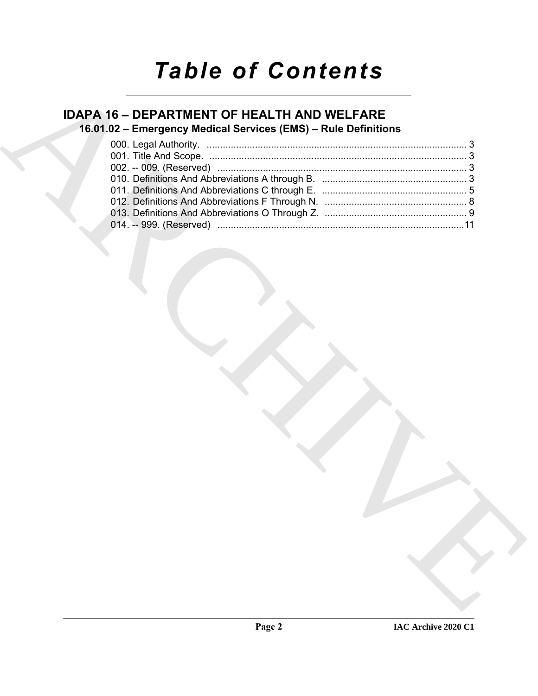# *Table of Contents*

# **IDAPA 16 – DEPARTMENT OF HEALTH AND WELFARE**

## **16.01.02 – Emergency Medical Services (EMS) – Rule Definitions**

|  | 16.01.02 - Emergency Medical Services (EMS) - Rule Definitions |  |
|--|----------------------------------------------------------------|--|
|  |                                                                |  |
|  |                                                                |  |
|  |                                                                |  |
|  |                                                                |  |
|  |                                                                |  |
|  |                                                                |  |
|  |                                                                |  |
|  |                                                                |  |
|  |                                                                |  |
|  |                                                                |  |
|  |                                                                |  |
|  |                                                                |  |
|  |                                                                |  |
|  |                                                                |  |
|  |                                                                |  |
|  |                                                                |  |
|  |                                                                |  |
|  |                                                                |  |
|  |                                                                |  |
|  |                                                                |  |
|  |                                                                |  |
|  |                                                                |  |
|  |                                                                |  |
|  |                                                                |  |
|  |                                                                |  |
|  |                                                                |  |
|  |                                                                |  |
|  |                                                                |  |
|  |                                                                |  |
|  |                                                                |  |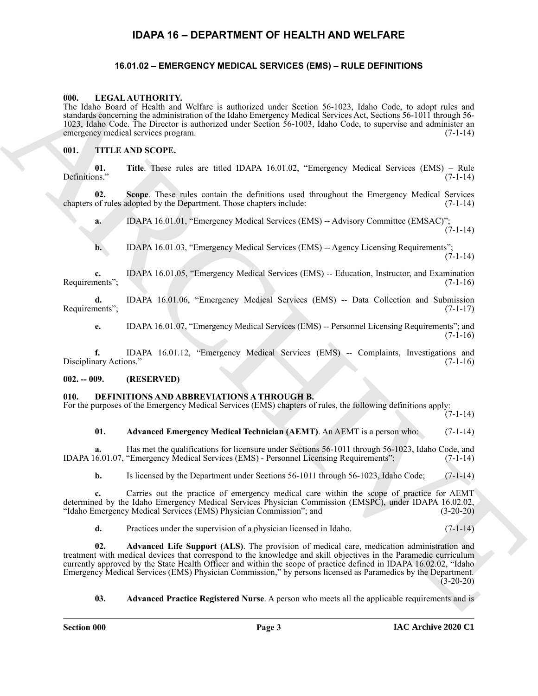## **IDAPA 16 – DEPARTMENT OF HEALTH AND WELFARE**

#### <span id="page-2-10"></span><span id="page-2-0"></span>**16.01.02 – EMERGENCY MEDICAL SERVICES (EMS) – RULE DEFINITIONS**

#### <span id="page-2-2"></span><span id="page-2-1"></span>**000. LEGAL AUTHORITY.**

The Idaho Board of Health and Welfare is authorized under Section 56-1023, Idaho Code, to adopt rules and standards concerning the administration of the Idaho Emergency Medical Services Act, Sections 56-1011 through 56- 1023, Idaho Code. The Director is authorized under Section 56-1003, Idaho Code, to supervise and administer an<br>emergency medical services program. (7-1-14) emergency medical services program.

#### <span id="page-2-11"></span><span id="page-2-3"></span>**001. TITLE AND SCOPE.**

**01.** Title. These rules are titled IDAPA 16.01.02, "Emergency Medical Services (EMS) – Rule ns." (7-1-14) Definitions."

**02. Scope**. These rules contain the definitions used throughout the Emergency Medical Services chapters of rules adopted by the Department. Those chapters include: (7-1-14)

**a.** IDAPA 16.01.01, "Emergency Medical Services (EMS) -- Advisory Committee (EMSAC)";  $(7-1-14)$ 

**b.** IDAPA 16.01.03, "Emergency Medical Services (EMS) -- Agency Licensing Requirements";  $(7-1-14)$ 

**c.** IDAPA 16.01.05, "Emergency Medical Services (EMS) -- Education, Instructor, and Examination Requirements"; (7-1-16)

**d.** IDAPA 16.01.06, "Emergency Medical Services (EMS) -- Data Collection and Submission (7-1-17) Requirements";

**e.** IDAPA 16.01.07, "Emergency Medical Services (EMS) -- Personnel Licensing Requirements"; and  $(7-1-16)$ 

**f.** IDAPA 16.01.12, "Emergency Medical Services (EMS) -- Complaints, Investigations and nary Actions." (7-1-16) Disciplinary Actions."

#### <span id="page-2-4"></span>**002. -- 009. (RESERVED)**

#### <span id="page-2-6"></span><span id="page-2-5"></span>**010. DEFINITIONS AND ABBREVIATIONS A THROUGH B.**

For the purposes of the Emergency Medical Services (EMS) chapters of rules, the following definitions apply:

 $(7-1-14)$ 

#### <span id="page-2-7"></span>**01. Advanced Emergency Medical Technician (AEMT)**. An AEMT is a person who: (7-1-14)

**a.** Has met the qualifications for licensure under Sections 56-1011 through 56-1023, Idaho Code, and IDAPA 16.01.07, "Emergency Medical Services (EMS) - Personnel Licensing Requirements"; (7-1-14)

**b.** Is licensed by the Department under Sections 56-1011 through 56-1023, Idaho Code; (7-1-14)

**c.** Carries out the practice of emergency medical care within the scope of practice for AEMT determined by the Idaho Emergency Medical Services Physician Commission (EMSPC), under IDAPA 16.02.02, "Idaho Emergency Medical Services (EMS) Physician Commission"; and (3-20-20)

<span id="page-2-8"></span>**d.** Practices under the supervision of a physician licensed in Idaho. (7-1-14)

600. **LATER COLUME TRANSPORTATION** (And the state series of series 16.02). LABA Cock, to advertise and annihilatorial contribution of the basis increases of the state series of the state series of the state series of the **02. Advanced Life Support (ALS)**. The provision of medical care, medication administration and treatment with medical devices that correspond to the knowledge and skill objectives in the Paramedic curriculum currently approved by the State Health Officer and within the scope of practice defined in IDAPA 16.02.02, "Idaho Emergency Medical Services (EMS) Physician Commission," by persons licensed as Paramedics by the Department. (3-20-20)

<span id="page-2-9"></span>**03.** Advanced Practice Registered Nurse. A person who meets all the applicable requirements and is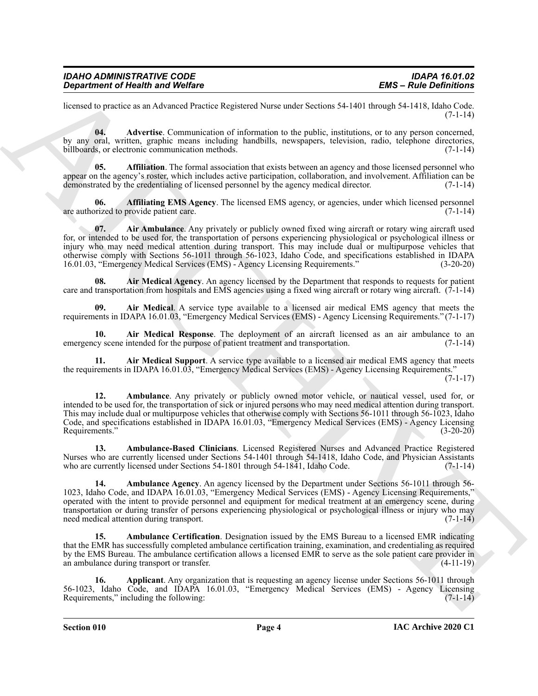| <b>IDAHO ADMINISTRATIVE CODE</b> |  |
|----------------------------------|--|
| Department of Health and Welfare |  |

licensed to practice as an Advanced Practice Registered Nurse under Sections 54-1401 through 54-1418, Idaho Code. (7-1-14)

<span id="page-3-0"></span>**04. Advertise**. Communication of information to the public, institutions, or to any person concerned, by any oral, written, graphic means including handbills, newspapers, television, radio, telephone directories, billboards, or electronic communication methods. (7-1-14)

<span id="page-3-2"></span>**05. Affiliation**. The formal association that exists between an agency and those licensed personnel who appear on the agency's roster, which includes active participation, collaboration, and involvement. Affiliation can be demonstrated by the credentialing of licensed personnel by the agency medical director. (7-1-14)

<span id="page-3-1"></span>**06. Affiliating EMS Agency**. The licensed EMS agency, or agencies, under which licensed personnel prized to provide patient care. are authorized to provide patient care.

<span id="page-3-3"></span>**07.** Air Ambulance. Any privately or publicly owned fixed wing aircraft or rotary wing aircraft used for, or intended to be used for, the transportation of persons experiencing physiological or psychological illness or injury who may need medical attention during transport. This may include dual or multipurpose vehicles that otherwise comply with Sections 56-1011 through 56-1023, Idaho Code, and specifications established in IDAPA 16.01.03, "Emergency Medical Services (EMS) - Agency Licensing Requirements." (3-20-20)

<span id="page-3-5"></span>**08. Air Medical Agency**. An agency licensed by the Department that responds to requests for patient care and transportation from hospitals and EMS agencies using a fixed wing aircraft or rotary wing aircraft.  $(7-1-14)$ 

<span id="page-3-4"></span>**09. Air Medical**. A service type available to a licensed air medical EMS agency that meets the requirements in IDAPA 16.01.03, "Emergency Medical Services (EMS) - Agency Licensing Requirements." (7-1-17)

<span id="page-3-6"></span>**10. Air Medical Response**. The deployment of an aircraft licensed as an air ambulance to an ey scene intended for the purpose of patient treatment and transportation. (7-1-14) emergency scene intended for the purpose of patient treatment and transportation.

<span id="page-3-7"></span>**11. Air Medical Support**. A service type available to a licensed air medical EMS agency that meets the requirements in IDAPA 16.01.03, "Emergency Medical Services (EMS) - Agency Licensing Requirements."

 $(7-1-17)$ 

<span id="page-3-9"></span>**12. Ambulance**. Any privately or publicly owned motor vehicle, or nautical vessel, used for, or intended to be used for, the transportation of sick or injured persons who may need medical attention during transport. This may include dual or multipurpose vehicles that otherwise comply with Sections 56-1011 through 56-1023, Idaho Code, and specifications established in IDAPA 16.01.03, "Emergency Medical Services (EMS) - Agency Licensing Requirements." (3-20-20)

<span id="page-3-11"></span><span id="page-3-10"></span>**13. Ambulance-Based Clinicians**. Licensed Registered Nurses and Advanced Practice Registered Nurses who are currently licensed under Sections 54-1401 through 54-1418, Idaho Code, and Physician Assistants who are currently licensed under Sections 54-1801 through 54-1841, Idaho Code. (7-1-14)

**Engardment of Nearly were very sensually as the formula measure of Solution Section 2.6 and Benefits and Architects<br>
here the state of the state of the state of the state of the state of the state of the state of the sta 14. Ambulance Agency**. An agency licensed by the Department under Sections 56-1011 through 56- 1023, Idaho Code, and IDAPA 16.01.03, "Emergency Medical Services (EMS) - Agency Licensing Requirements," operated with the intent to provide personnel and equipment for medical treatment at an emergency scene, during transportation or during transfer of persons experiencing physiological or psychological illness or injury who may need medical attention during transport. (7-1-14)

<span id="page-3-8"></span>**15. Ambulance Certification**. Designation issued by the EMS Bureau to a licensed EMR indicating that the EMR has successfully completed ambulance certification training, examination, and credentialing as required by the EMS Bureau. The ambulance certification allows a licensed EMR to serve as the sole patient care provider in an ambulance during transport or transfer. (4-11-19)

<span id="page-3-12"></span>**16. Applicant**. Any organization that is requesting an agency license under Sections 56-1011 through 56-1023, Idaho Code, and IDAPA 16.01.03, "Emergency Medical Services (EMS) - Agency Licensing Requirements," including the following: (7-1-14)

**Section 010 Page 4**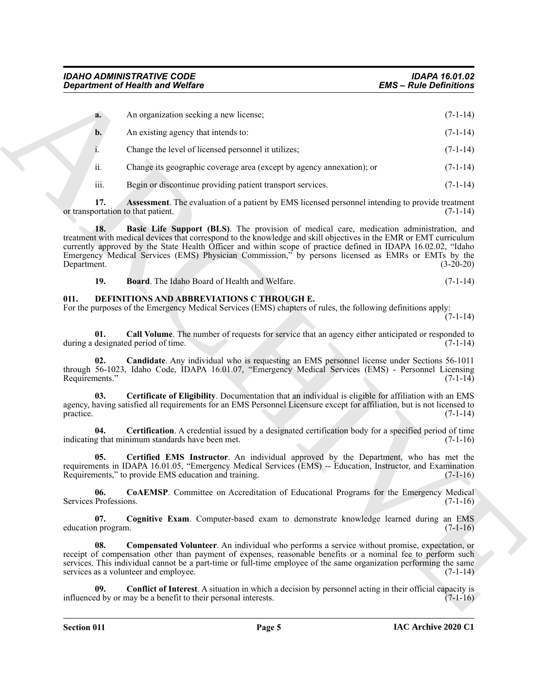| An organization seeking a new license; | $(7-1-14)$ |
|----------------------------------------|------------|
| An existing agency that intends to:    | $(7-1-14)$ |

i. Change the level of licensed personnel it utilizes; (7-1-14)

ii. Change its geographic coverage area (except by agency annexation); or (7-1-14)

<span id="page-4-2"></span><span id="page-4-1"></span>iii. Begin or discontinue providing patient transport services. (7-1-14)

**17. Assessment**. The evaluation of a patient by EMS licensed personnel intending to provide treatment ortation to that patient. (7-1-14) or transportation to that patient.

**EXACLE THE CONSULTER CONSULTER CONSULTER CONSULTER CONSULTER CONSULTER CONSULTER CONSULTER CONSULTER CONSULTER CONSULTER CONSULTER CONSULTER CONSULTER CONSULTER CONSULTER CONSULTER CONSULTER CONSULTER CONSULTER CONSULTER 18. Basic Life Support (BLS)**. The provision of medical care, medication administration, and treatment with medical devices that correspond to the knowledge and skill objectives in the EMR or EMT curriculum currently approved by the State Health Officer and within scope of practice defined in IDAPA 16.02.02, "Idaho Emergency Medical Services (EMS) Physician Commission," by persons licensed as EMRs or EMTs by the Department. (3-20-20)

<span id="page-4-5"></span><span id="page-4-4"></span><span id="page-4-3"></span>

| 19. | <b>Board.</b> The Idaho Board of Health and Welfare. | $(7-1-14)$ |  |  |
|-----|------------------------------------------------------|------------|--|--|
|     |                                                      |            |  |  |

#### <span id="page-4-0"></span>**011. DEFINITIONS AND ABBREVIATIONS C THROUGH E.**

For the purposes of the Emergency Medical Services (EMS) chapters of rules, the following definitions apply:

(7-1-14)

**01.** Call Volume. The number of requests for service that an agency either anticipated or responded to designated period of time. (7-1-14) during a designated period of time.

<span id="page-4-6"></span>**02. Candidate**. Any individual who is requesting an EMS personnel license under Sections 56-1011 through 56-1023, Idaho Code, IDAPA 16.01.07, "Emergency Medical Services (EMS) - Personnel Licensing Requirements." (7-1-14)

<span id="page-4-7"></span>**03. Certificate of Eligibility**. Documentation that an individual is eligible for affiliation with an EMS agency, having satisfied all requirements for an EMS Personnel Licensure except for affiliation, but is not licensed to practice. (7-1-14)

<span id="page-4-8"></span>**04. Certification**. A credential issued by a designated certification body for a specified period of time indicating that minimum standards have been met. (7-1-16)

<span id="page-4-9"></span>**05. Certified EMS Instructor**. An individual approved by the Department, who has met the requirements in IDAPA 16.01.05, "Emergency Medical Services (EMS) -- Education, Instructor, and Examination Requirements," to provide EMS education and training. (7-1-16)

<span id="page-4-10"></span>**06. CoAEMSP**. Committee on Accreditation of Educational Programs for the Emergency Medical Professions. (7-1-16) Services Professions.

<span id="page-4-11"></span>**07.** Cognitive Exam. Computer-based exam to demonstrate knowledge learned during an EMS (7-1-16) education program.

<span id="page-4-12"></span>**08. Compensated Volunteer**. An individual who performs a service without promise, expectation, or receipt of compensation other than payment of expenses, reasonable benefits or a nominal fee to perform such services. This individual cannot be a part-time or full-time employee of the same organization performing the same services as a volunteer and employee. (7-1-14)

<span id="page-4-13"></span>**Conflict of Interest**. A situation in which a decision by personnel acting in their official capacity is influenced by or may be a benefit to their personal interests. (7-1-16)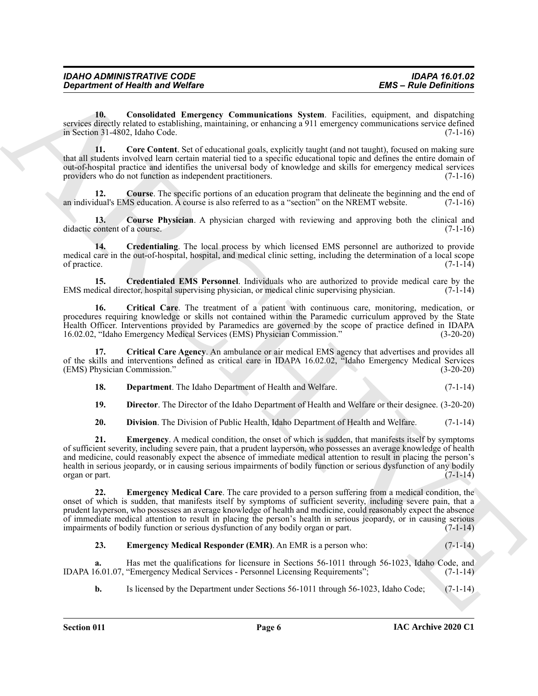<span id="page-5-0"></span>**10. Consolidated Emergency Communications System**. Facilities, equipment, and dispatching services directly related to establishing, maintaining, or enhancing a 911 emergency communications service defined in Section 31-4802, Idaho Code. (7-1-16)

<span id="page-5-1"></span>**11. Core Content**. Set of educational goals, explicitly taught (and not taught), focused on making sure that all students involved learn certain material tied to a specific educational topic and defines the entire domain of out-of-hospital practice and identifies the universal body of knowledge and skills for emergency medical services providers who do not function as independent practitioners. (7-1-16)

<span id="page-5-2"></span>**12. Course**. The specific portions of an education program that delineate the beginning and the end of an individual's EMS education. A course is also referred to as a "section" on the NREMT website. (7-1-16)

<span id="page-5-3"></span>**13. Course Physician**. A physician charged with reviewing and approving both the clinical and didactic content of a course. (7-1-16)

<span id="page-5-5"></span>**14. Credentialing**. The local process by which licensed EMS personnel are authorized to provide medical care in the out-of-hospital, hospital, and medical clinic setting, including the determination of a local scope of practice.  $(7-1-14)$ 

<span id="page-5-4"></span>**15.** Credentialed EMS Personnel. Individuals who are authorized to provide medical care by the dical director, hospital supervising physician, or medical clinic supervising physician. (7-1-14) EMS medical director, hospital supervising physician, or medical clinic supervising physician.

<span id="page-5-6"></span>**16. Critical Care**. The treatment of a patient with continuous care, monitoring, medication, or procedures requiring knowledge or skills not contained within the Paramedic curriculum approved by the State Health Officer. Interventions provided by Paramedics are governed by the scope of practice defined in IDAPA 16.02.02, "Idaho Emergency Medical Services (EMS) Physician Commission." (3-20-20)

**17. Critical Care Agency**. An ambulance or air medical EMS agency that advertises and provides all of the skills and interventions defined as critical care in IDAPA 16.02.02, "Idaho Emergency Medical Services (EMS) Physician Commission." (3-20-20)

<span id="page-5-8"></span><span id="page-5-7"></span>

| 18. |  | <b>Department.</b> The Idaho Department of Health and Welfare. | $(7-1-14)$ |  |
|-----|--|----------------------------------------------------------------|------------|--|
|-----|--|----------------------------------------------------------------|------------|--|

<span id="page-5-9"></span>**19. Director**. The Director of the Idaho Department of Health and Welfare or their designee. (3-20-20)

<span id="page-5-11"></span><span id="page-5-10"></span>**20. Division**. The Division of Public Health, Idaho Department of Health and Welfare. (7-1-14)

**ERG** - Consideration of *Constraint* of *Constraint* of *Consideration* System. Finding, **ERG** - Finding Constraints of *Consideration* of *Consideration* of *Consideration* of *Consideration* of *Consideration* of *Cons* **21. Emergency**. A medical condition, the onset of which is sudden, that manifests itself by symptoms of sufficient severity, including severe pain, that a prudent layperson, who possesses an average knowledge of health and medicine, could reasonably expect the absence of immediate medical attention to result in placing the person's health in serious jeopardy, or in causing serious impairments of bodily function or serious dysfunction of any bodily  $\alpha$  organ or part.  $(7-1-14)$ 

<span id="page-5-12"></span>**22. Emergency Medical Care**. The care provided to a person suffering from a medical condition, the onset of which is sudden, that manifests itself by symptoms of sufficient severity, including severe pain, that a prudent layperson, who possesses an average knowledge of health and medicine, could reasonably expect the absence of immediate medical attention to result in placing the person's health in serious jeopardy, or in causing serious impairments of bodily function or serious dysfunction of any bodily organ or part. (7-1-14) impairments of bodily function or serious dysfunction of any bodily organ or part.

#### <span id="page-5-13"></span>**23. Emergency Medical Responder (EMR)**. An EMR is a person who: (7-1-14)

**a.** Has met the qualifications for licensure in Sections 56-1011 through 56-1023, Idaho Code, and IDAPA 16.01.07, "Emergency Medical Services - Personnel Licensing Requirements"; (7-1-14)

**b.** Is licensed by the Department under Sections 56-1011 through 56-1023, Idaho Code; (7-1-14)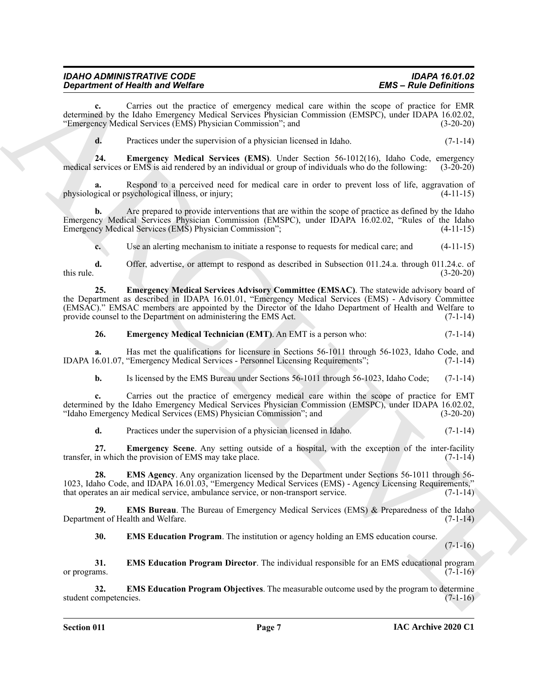| <b>IDAHO ADMINISTRATIVE CODE</b>        | <b>IDAPA 16.01.02</b>         |
|-----------------------------------------|-------------------------------|
| <b>Department of Health and Welfare</b> | <b>EMS - Rule Definitions</b> |

**c.** Carries out the practice of emergency medical care within the scope of practice for EMR determined by the Idaho Emergency Medical Services Physician Commission (EMSPC), under IDAPA 16.02.02, "Emergency Medical Services (EMS) Physician Commission"; and (3-20-20)

<span id="page-6-0"></span>**d.** Practices under the supervision of a physician licensed in Idaho. (7-1-14)

**24. Emergency Medical Services (EMS)**. Under Section 56-1012(16), Idaho Code, emergency services or EMS is aid rendered by an individual or group of individuals who do the following: (3-20-20) medical services or EMS is aid rendered by an individual or group of individuals who do the following:

**a.** Respond to a perceived need for medical care in order to prevent loss of life, aggravation of physiological or psychological illness, or injury; (4-11-15)

**b.** Are prepared to provide interventions that are within the scope of practice as defined by the Idaho Emergency Medical Services Physician Commission (EMSPC), under IDAPA 16.02.02, "Rules of the Idaho Emergency Medical Services (EMS) Physician Commission"; (4-11-15)

<span id="page-6-1"></span>**c.** Use an alerting mechanism to initiate a response to requests for medical care; and (4-11-15)

**d.** Offer, advertise, or attempt to respond as described in Subsection 011.24.a. through 011.24.c. of (3-20-20) this rule.  $(3-20-20)$ 

**Equation of Nearly in Models Containing** and the strength containing **Example 1. Example 2. Example 2. A** Archives and the strength containing the strength containing the strength of the strength of the strength of **25. Emergency Medical Services Advisory Committee (EMSAC)**. The statewide advisory board of the Department as described in IDAPA 16.01.01, "Emergency Medical Services (EMS) - Advisory Committee (EMSAC)." EMSAC members are appointed by the Director of the Idaho Department of Health and Welfare to provide counsel to the Department on administering the EMS Act. (7-1-14)

#### <span id="page-6-2"></span>**26. Emergency Medical Technician (EMT)**. An EMT is a person who:  $(7-1-14)$

**a.** Has met the qualifications for licensure in Sections 56-1011 through 56-1023, Idaho Code, and IDAPA 16.01.07, "Emergency Medical Services - Personnel Licensing Requirements"; (7-1-14)

**b.** Is licensed by the EMS Bureau under Sections 56-1011 through 56-1023, Idaho Code; (7-1-14)

**c.** Carries out the practice of emergency medical care within the scope of practice for EMT determined by the Idaho Emergency Medical Services Physician Commission (EMSPC), under IDAPA 16.02.02, "Idaho Emergency Medical Services (EMS) Physician Commission"; and (3-20-20)

<span id="page-6-4"></span><span id="page-6-3"></span>**d.** Practices under the supervision of a physician licensed in Idaho. (7-1-14)

**27. Emergency Scene**. Any setting outside of a hospital, with the exception of the inter-facility transfer, in which the provision of EMS may take place.  $(7-1-14)$ 

**28. EMS Agency**. Any organization licensed by the Department under Sections 56-1011 through 56- 1023, Idaho Code, and IDAPA 16.01.03, "Emergency Medical Services (EMS) - Agency Licensing Requirements," that operates an air medical service, ambulance service, or non-transport service. (7-1-14)

**29. EMS Bureau**. The Bureau of Emergency Medical Services (EMS) & Preparedness of the Idaho Department of Health and Welfare. (7-1-14)

<span id="page-6-8"></span><span id="page-6-7"></span><span id="page-6-6"></span><span id="page-6-5"></span>**30. EMS Education Program**. The institution or agency holding an EMS education course.

 $(7-1-16)$ 

**31. EMS Education Program Director**. The individual responsible for an EMS educational program or programs.  $(7-1-16)$ 

**32. EMS Education Program Objectives**. The measurable outcome used by the program to determine student competencies. (7-1-16)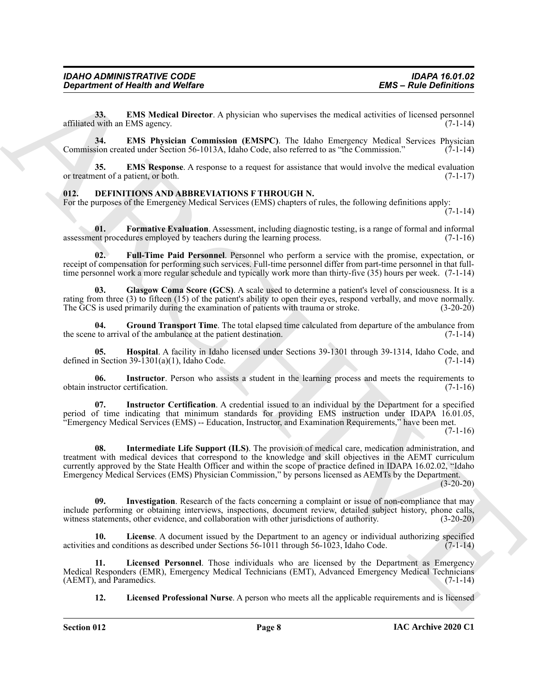<span id="page-7-1"></span>**33. EMS Medical Director**. A physician who supervises the medical activities of licensed personnel affiliated with an EMS agency. (7-1-14)

<span id="page-7-2"></span>**34. EMS Physician Commission (EMSPC)**. The Idaho Emergency Medical Services Physician Commission created under Section 56-1013A, Idaho Code, also referred to as "the Commission." (7-1-14)

<span id="page-7-3"></span>**35. EMS Response**. A response to a request for assistance that would involve the medical evaluation or treatment of a patient, or both. (7-1-17)

#### <span id="page-7-4"></span><span id="page-7-0"></span>**012. DEFINITIONS AND ABBREVIATIONS F THROUGH N.**

For the purposes of the Emergency Medical Services (EMS) chapters of rules, the following definitions apply:  $(7-1-14)$ 

<span id="page-7-5"></span>**01.** Formative Evaluation. Assessment, including diagnostic testing, is a range of formal and informal ent procedures employed by teachers during the learning process. (7-1-16) assessment procedures employed by teachers during the learning process.

<span id="page-7-6"></span>**02. Full-Time Paid Personnel**. Personnel who perform a service with the promise, expectation, or receipt of compensation for performing such services. Full-time personnel differ from part-time personnel in that fulltime personnel work a more regular schedule and typically work more than thirty-five (35) hours per week. (7-1-14)

<span id="page-7-7"></span>**03. Glasgow Coma Score (GCS)**. A scale used to determine a patient's level of consciousness. It is a rating from three (3) to fifteen (15) of the patient's ability to open their eyes, respond verbally, and move normally. The GCS is used primarily during the examination of patients with trauma or stroke. (3-20-20)

<span id="page-7-8"></span>**04. Ground Transport Time**. The total elapsed time calculated from departure of the ambulance from the scene to arrival of the ambulance at the patient destination. (7-1-14)

<span id="page-7-9"></span>**05. Hospital**. A facility in Idaho licensed under Sections 39-1301 through 39-1314, Idaho Code, and defined in Section  $39-1301(a)(1)$ , Idaho Code. (7-1-14)

<span id="page-7-10"></span>**06.** Instructor. Person who assists a student in the learning process and meets the requirements to obtain instructor certification. (7-1-16)

<span id="page-7-12"></span><span id="page-7-11"></span>**07. Instructor Certification**. A credential issued to an individual by the Department for a specified period of time indicating that minimum standards for providing EMS instruction under IDAPA 16.01.05, "Emergency Medical Services (EMS) -- Education, Instructor, and Examination Requirements," have been met.

 $(7-1-16)$ 

*Great from the GEW Street Webstern* **ERG**  $\sim$  **ERG**  $\sim$  **ERG**  $\sim$  **ERG**  $\sim$  **ERG**  $\sim$  **ERG**  $\sim$  **ERG**  $\sim$  **ERG**  $\sim$  **ERG**  $\sim$  **ERG**  $\sim$  **ERG**  $\sim$  **ERG**  $\sim$  **ERG**  $\sim$  **ERG**  $\sim$  **ERG**  $\sim$  **ERG**  $\sim$  **ERG 08. Intermediate Life Support (ILS)**. The provision of medical care, medication administration, and treatment with medical devices that correspond to the knowledge and skill objectives in the AEMT curriculum currently approved by the State Health Officer and within the scope of practice defined in IDAPA 16.02.02, "Idaho Emergency Medical Services (EMS) Physician Commission," by persons licensed as AEMTs by the Department.

 $(3-20-20)$ 

<span id="page-7-13"></span>**Investigation**. Research of the facts concerning a complaint or issue of non-compliance that may include performing or obtaining interviews, inspections, document review, detailed subject history, phone calls, witness statements, other evidence, and collaboration with other jurisdictions of authority. (3-20-20)

<span id="page-7-14"></span>**10. License**. A document issued by the Department to an agency or individual authorizing specified activities and conditions as described under Sections 56-1011 through 56-1023, Idaho Code.  $(7-1-14)$ 

**11. Licensed Personnel**. Those individuals who are licensed by the Department as Emergency Medical Responders (EMR), Emergency Medical Technicians (EMT), Advanced Emergency Medical Technicians (AEMT), and Paramedics.

<span id="page-7-16"></span><span id="page-7-15"></span>**12. Licensed Professional Nurse**. A person who meets all the applicable requirements and is licensed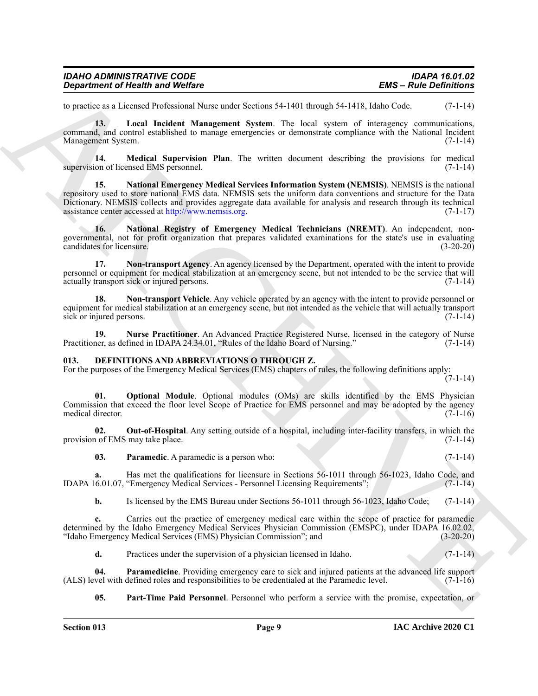| <b>IDAHO ADMINISTRATIVE CODE</b> | <b>IDAPA 16.01.02</b>         |
|----------------------------------|-------------------------------|
| Department of Health and Welfare | <b>EMS – Rule Definitions</b> |

<span id="page-8-2"></span>to practice as a Licensed Professional Nurse under Sections 54-1401 through 54-1418, Idaho Code. (7-1-14)

**13. Local Incident Management System**. The local system of interagency communications, command, and control established to manage emergencies or demonstrate compliance with the National Incident Management System. (7-1-14)

<span id="page-8-3"></span><span id="page-8-1"></span>**14. Medical Supervision Plan**. The written document describing the provisions for medical supervision of licensed EMS personnel.

**Experiment of Nearth wave Wolfres**<br>
to possible and Wolfres<br>
to the actual Defective Mathematic Annoyabetes S4-1401 theory of 4-1418 their costs.<br>
control and the state of the state of the state decrease is the cost of t **15. National Emergency Medical Services Information System (NEMSIS)**. NEMSIS is the national repository used to store national EMS data. NEMSIS sets the uniform data conventions and structure for the Data Dictionary. NEMSIS collects and provides aggregate data available for analysis and research through its technical assistance center accessed at http://www.nemsis.org.  $(7-1-17)$ assistance center accessed at http://www.nemsis.org.

<span id="page-8-4"></span>**16. National Registry of Emergency Medical Technicians (NREMT)**. An independent, nongovernmental, not for profit organization that prepares validated examinations for the state's use in evaluating candidates for licensure. (3-20-20) candidates for licensure.

<span id="page-8-5"></span>**17. Non-transport Agency**. An agency licensed by the Department, operated with the intent to provide personnel or equipment for medical stabilization at an emergency scene, but not intended to be the service that will actually transport sick or injured persons. (7-1-14)

<span id="page-8-6"></span>**18.** Non-transport Vehicle. Any vehicle operated by an agency with the intent to provide personnel or equipment for medical stabilization at an emergency scene, but not intended as the vehicle that will actually transport sick or injured persons. (7-1-14)

<span id="page-8-7"></span>**19. Nurse Practitioner**. An Advanced Practice Registered Nurse, licensed in the category of Nurse Practitioner, as defined in IDAPA 24.34.01, "Rules of the Idaho Board of Nursing." (7-1-14)

#### <span id="page-8-8"></span><span id="page-8-0"></span>**013. DEFINITIONS AND ABBREVIATIONS O THROUGH Z.**

For the purposes of the Emergency Medical Services (EMS) chapters of rules, the following definitions apply:  $(7-1-14)$ 

<span id="page-8-9"></span>**01. Optional Module**. Optional modules (OMs) are skills identified by the EMS Physician Commission that exceed the floor level Scope of Practice for EMS personnel and may be adopted by the agency medical director. (7-1-16)

**02. Out-of-Hospital**. Any setting outside of a hospital, including inter-facility transfers, in which the provision of EMS may take place. (7-1-14)

<span id="page-8-11"></span><span id="page-8-10"></span>**03. Paramedic**. A paramedic is a person who: (7-1-14)

**a.** Has met the qualifications for licensure in Sections 56-1011 through 56-1023, Idaho Code, and 6.01.07, "Emergency Medical Services - Personnel Licensing Requirements"; (7-1-14) IDAPA 16.01.07, "Emergency Medical Services - Personnel Licensing Requirements";

**b.** Is licensed by the EMS Bureau under Sections 56-1011 through 56-1023, Idaho Code; (7-1-14)

**c.** Carries out the practice of emergency medical care within the scope of practice for paramedic determined by the Idaho Emergency Medical Services Physician Commission (EMSPC), under IDAPA 16.02.02,<br>
"Idaho Emergency Medical Services (EMS) Physician Commission"; and (3-20-20) "Idaho Emergency Medical Services (EMS) Physician Commission"; and

<span id="page-8-12"></span>**d.** Practices under the supervision of a physician licensed in Idaho. (7-1-14)

**04.** Paramedicine. Providing emergency care to sick and injured patients at the advanced life support vel with defined roles and responsibilities to be credentialed at the Paramedic level. (7-1-16) (ALS) level with defined roles and responsibilities to be credentialed at the Paramedic level.

<span id="page-8-13"></span>**05. Part-Time Paid Personnel**. Personnel who perform a service with the promise, expectation, or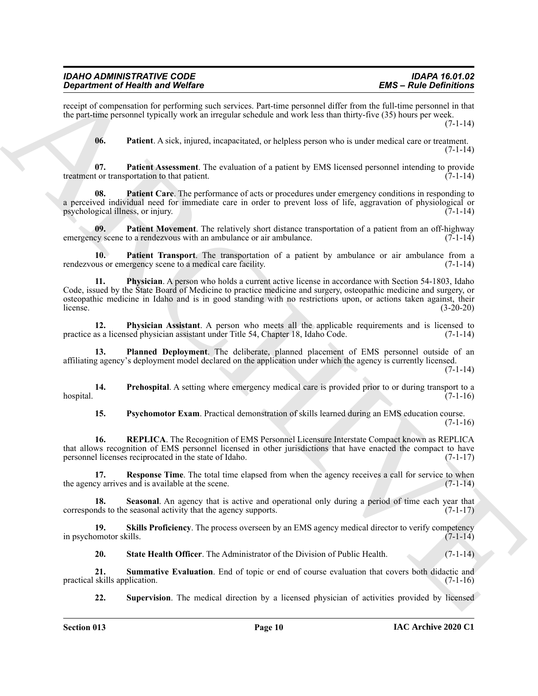#### *IDAHO ADMINISTRATIVE CODE IDAPA 16.01.02 Department of Health and Welfare*

receipt of compensation for performing such services. Part-time personnel differ from the full-time personnel in that the part-time personnel typically work an irregular schedule and work less than thirty-five (35) hours per week.

(7-1-14)

<span id="page-9-2"></span><span id="page-9-1"></span><span id="page-9-0"></span>**06. Patient**. A sick, injured, incapacitated, or helpless person who is under medical care or treatment.  $(7-1-14)$ 

**07. Patient Assessment**. The evaluation of a patient by EMS licensed personnel intending to provide treatment or transportation to that patient. (7-1-14)

**08. Patient Care**. The performance of acts or procedures under emergency conditions in responding to a perceived individual need for immediate care in order to prevent loss of life, aggravation of physiological or<br>(7-1-14) psychological illness, or injury.

<span id="page-9-3"></span>**09.** Patient Movement. The relatively short distance transportation of a patient from an off-highway ey scene to a rendezvous with an ambulance or air ambulance. (7-1-14) emergency scene to a rendezvous with an ambulance or air ambulance.

<span id="page-9-5"></span><span id="page-9-4"></span>**10. Patient Transport**. The transportation of a patient by ambulance or air ambulance from a rendezvous or emergency scene to a medical care facility. (7-1-14)

**Significant of New York Distribution**<br>
Significant Christian Content and Website Christian Content and the United Significant Significant Christian Christian Christian Christian Christian Christian Christian Christian Ch **11. Physician**. A person who holds a current active license in accordance with Section 54-1803, Idaho Code, issued by the State Board of Medicine to practice medicine and surgery, osteopathic medicine and surgery, or osteopathic medicine in Idaho and is in good standing with no restrictions upon, or actions taken against, their  $l$ icense. (3-20-20)

<span id="page-9-6"></span>**12. Physician Assistant**. A person who meets all the applicable requirements and is licensed to practice as a licensed physician assistant under Title 54, Chapter 18, Idaho Code. (7-1-14)

<span id="page-9-7"></span>**13. Planned Deployment**. The deliberate, planned placement of EMS personnel outside of an affiliating agency's deployment model declared on the application under which the agency is currently licensed.  $(7-1-14)$ 

**14. Prehospital**. A setting where emergency medical care is provided prior to or during transport to a  $h$ ospital.  $(7-1-16)$ 

<span id="page-9-11"></span><span id="page-9-10"></span><span id="page-9-9"></span><span id="page-9-8"></span>**15. Psychomotor Exam**. Practical demonstration of skills learned during an EMS education course.  $(7-1-16)$ 

**16. REPLICA**. The Recognition of EMS Personnel Licensure Interstate Compact known as REPLICA that allows recognition of EMS personnel licensed in other jurisdictions that have enacted the compact to have personnel licenses reciprocated in the state of Idaho. (7-1-17)

**17. Response Time**. The total time elapsed from when the agency receives a call for service to when ey arrives and is available at the scene. (7-1-14) the agency arrives and is available at the scene.

<span id="page-9-12"></span>**18. Seasonal**. An agency that is active and operational only during a period of time each year that corresponds to the seasonal activity that the agency supports. (7-1-17)

**19.** Skills Proficiency. The process overseen by an EMS agency medical director to verify competency omotor skills. (7-1-14) in psychomotor skills.

<span id="page-9-15"></span><span id="page-9-14"></span><span id="page-9-13"></span>**20.** State Health Officer. The Administrator of the Division of Public Health. (7-1-14)

**21.** Summative Evaluation. End of topic or end of course evaluation that covers both didactic and skills application. (7-1-16) practical skills application.

<span id="page-9-16"></span>**22. Supervision**. The medical direction by a licensed physician of activities provided by licensed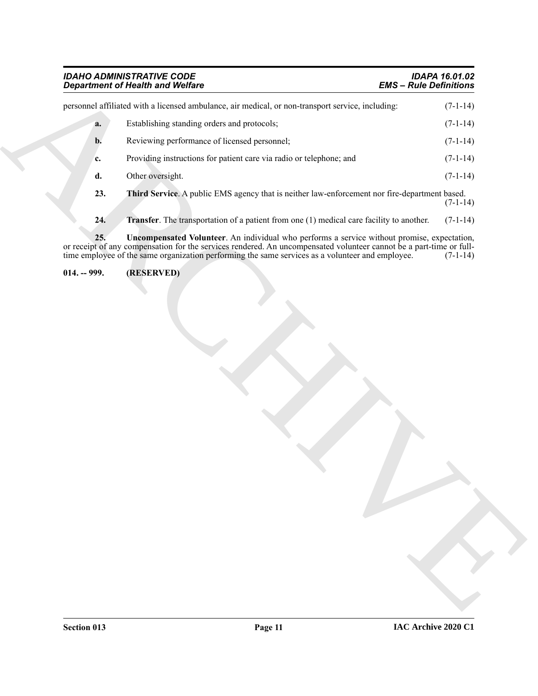## <span id="page-10-3"></span><span id="page-10-2"></span><span id="page-10-1"></span><span id="page-10-0"></span>*IDAHO ADMINISTRATIVE CODE IDAPA 16.01.02* **Department of Health and Welfare**

| <b>Department of Health and Welfare</b> |                                                                                                                                                                                                                                                                                                                        | <b>EMS - Rule Definitions</b> |            |
|-----------------------------------------|------------------------------------------------------------------------------------------------------------------------------------------------------------------------------------------------------------------------------------------------------------------------------------------------------------------------|-------------------------------|------------|
|                                         | personnel affiliated with a licensed ambulance, air medical, or non-transport service, including:                                                                                                                                                                                                                      |                               | $(7-1-14)$ |
| a.                                      | Establishing standing orders and protocols;                                                                                                                                                                                                                                                                            |                               | $(7-1-14)$ |
| b.                                      | Reviewing performance of licensed personnel;                                                                                                                                                                                                                                                                           |                               | $(7-1-14)$ |
| c.                                      | Providing instructions for patient care via radio or telephone; and                                                                                                                                                                                                                                                    |                               | $(7-1-14)$ |
| d.                                      | Other oversight.                                                                                                                                                                                                                                                                                                       |                               | $(7-1-14)$ |
| 23.                                     | Third Service. A public EMS agency that is neither law-enforcement nor fire-department based.                                                                                                                                                                                                                          |                               | $(7-1-14)$ |
| 24.                                     | Transfer. The transportation of a patient from one (1) medical care facility to another.                                                                                                                                                                                                                               |                               | $(7-1-14)$ |
| 25.                                     | Uncompensated Volunteer. An individual who performs a service without promise, expectation,<br>or receipt of any compensation for the services rendered. An uncompensated volunteer cannot be a part-time or full-<br>time employee of the same organization performing the same services as a volunteer and employee. |                               | $(7-1-14)$ |
|                                         |                                                                                                                                                                                                                                                                                                                        |                               |            |